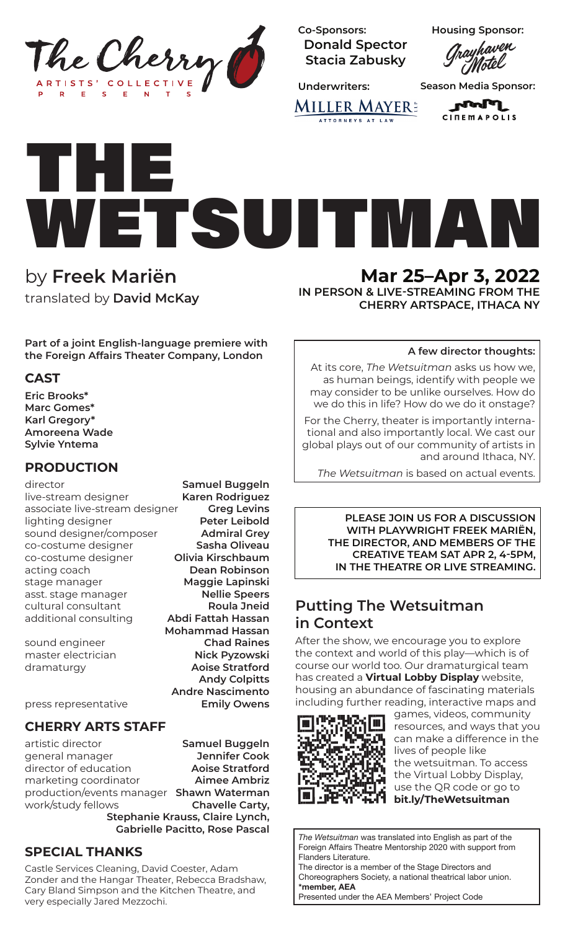

**Co-Sponsors: Donald Spector Stacia Zabusky**

Housing Sponsor:<br>*Grayhaven*<br>*Motel* 

**MILLER MAYER:** ATTORNEYS AT LAW

**Underwriters: Season Media Sponsor:**

**roof** in **CITEMAPOLIS** 

# THE WETSUITMAN

by **Freek Mariën** translated by **David McKay**

**Mar 25–Apr 3, 2022**

**IN PERSON & LIVE-STREAMING FROM THE CHERRY ARTSPACE, ITHACA NY**

#### **A few director thoughts:**

At its core, *The Wetsuitman* asks us how we, as human beings, identify with people we may consider to be unlike ourselves. How do we do this in life? How do we do it onstage?

For the Cherry, theater is importantly international and also importantly local. We cast our global plays out of our community of artists in and around Ithaca, NY.

*The Wetsuitman* is based on actual events.

**PLEASE JOIN US FOR A DISCUSSION WITH PLAYWRIGHT FREEK MARIËN, THE DIRECTOR, AND MEMBERS OF THE CREATIVE TEAM SAT APR 2, 4-5PM, IN THE THEATRE OR LIVE STREAMING.**

### **Putting The Wetsuitman in Context**

After the show, we encourage you to explore the context and world of this play—which is of course our world too. Our dramaturgical team has created a **Virtual Lobby Display** website, housing an abundance of fascinating materials including further reading, interactive maps and



games, videos, community resources, and ways that you can make a difference in the lives of people like the wetsuitman. To access the Virtual Lobby Display, use the QR code or go to **bit.ly/TheWetsuitman**

*The Wetsuitman* was translated into English as part of the Foreign Affairs Theatre Mentorship 2020 with support from Flanders Literature.

The director is a member of the Stage Directors and Choreographers Society, a national theatrical labor union. **\*member, AEA**

Presented under the AEA Members' Project Code

**Part of a joint English-language premiere with the Foreign Affairs Theater Company, London**

### **CAST**

**Eric Brooks\* Marc Gomes\* Karl Gregory\* Amoreena Wade Sylvie Yntema**

### **PRODUCTION**

director **Samuel Buggeln** live-stream designer **Karen Rodriguez**  associate live-stream designer **Greg Levins** lighting designer **Peter Leibold** sound designer/composer **Admiral Grey** co-costume designer **Sasha Oliveau** co-costume designer **Olivia Kirschbaum** acting coach **Dean Robinson** stage manager **Maggie Lapinski** asst. stage manager **Nellie Speers** cultural consultant **Roula Jneid** additional consulting **Abdi Fattah Hassan**

**Mohammad Hassan** sound engineer **Chad Raines** master electrician **Nick Pyzowski** dramaturgy **Aoise Stratford Andy Colpitts Andre Nascimento**

press representative **Emily Owens**

**CHERRY ARTS STAFF**

artistic director **Samuel Buggeln** general manager **Jennifer Cook** director of education **Aoise Stratford** marketing coordinator **Aimee Ambriz** production/events manager **Shawn Waterman** work/study fellows **Chavelle Carty,** 

**Stephanie Krauss, Claire Lynch, Gabrielle Pacitto, Rose Pascal** 

### **SPECIAL THANKS**

Castle Services Cleaning, David Coester, Adam Zonder and the Hangar Theater, Rebecca Bradshaw, Cary Bland Simpson and the Kitchen Theatre, and very especially Jared Mezzochi.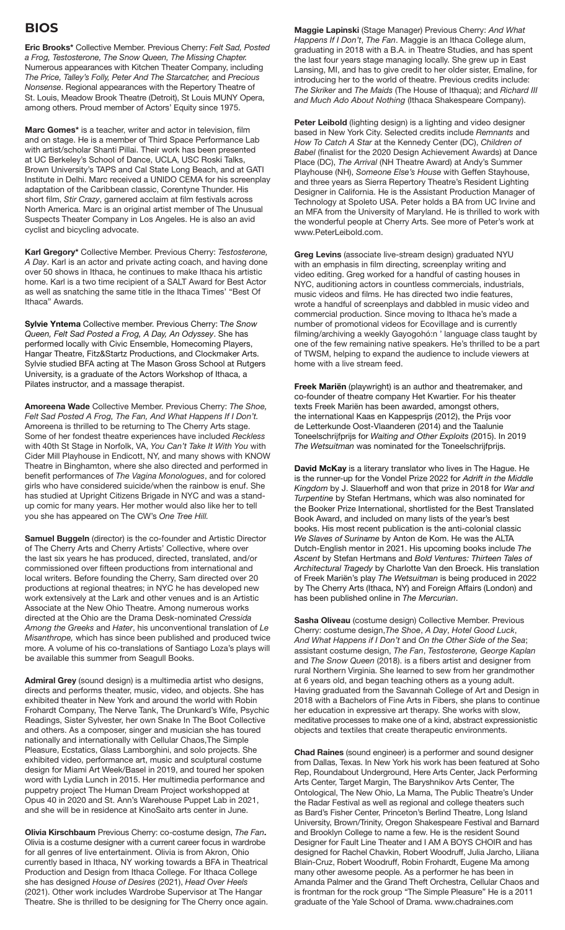### **BIOS**

**Eric Brooks\*** Collective Member. Previous Cherry: *Felt Sad, Posted a Frog, Testosterone, The Snow Queen, The Missing Chapter.*  Numerous appearances with Kitchen Theater Company, including *The Price, Talley's Folly, Peter And The Starcatcher,* and *Precious Nonsense*. Regional appearances with the Repertory Theatre of St. Louis, Meadow Brook Theatre (Detroit), St Louis MUNY Opera, among others. Proud member of Actors' Equity since 1975.

**Marc Gomes\*** is a teacher, writer and actor in television, film and on stage. He is a member of Third Space Performance Lab with artist/scholar Shanti Pillai. Their work has been presented at UC Berkeley's School of Dance, UCLA, USC Roski Talks, Brown University's TAPS and Cal State Long Beach, and at GATI Institute in Delhi. Marc received a UNIDO CEMA for his screenplay adaptation of the Caribbean classic, Corentyne Thunder. His short film, *Stir Crazy*, garnered acclaim at film festivals across North America. Marc is an original artist member of The Unusual Suspects Theater Company in Los Angeles. He is also an avid cyclist and bicycling advocate.

**Karl Gregory\*** Collective Member. Previous Cherry: *Testosterone, A Day*. Karl is an actor and private acting coach, and having done over 50 shows in Ithaca, he continues to make Ithaca his artistic home. Karl is a two time recipient of a SALT Award for Best Actor as well as snatching the same title in the Ithaca Times' "Best Of Ithaca" Awards.

**Sylvie Yntema** Collective member. Previous Cherry: T*he Snow Queen, Felt Sad Posted a Frog, A Day, An Odyssey*. She has performed locally with Civic Ensemble, Homecoming Players, Hangar Theatre, Fitz&Startz Productions, and Clockmaker Arts. Sylvie studied BFA acting at The Mason Gross School at Rutgers University, is a graduate of the Actors Workshop of Ithaca, a Pilates instructor, and a massage therapist.

**Amoreena Wade** Collective Member. Previous Cherry: *The Shoe, Felt Sad Posted A Frog, The Fan, And What Happens If I Don't.*  Amoreena is thrilled to be returning to The Cherry Arts stage. Some of her fondest theatre experiences have included *Reckless* with 40th St Stage in Norfolk, VA, *You Can't Take It With You* with Cider Mill Playhouse in Endicott, NY, and many shows with KNOW Theatre in Binghamton, where she also directed and performed in benefit performances of *The Vagina Monologues*, and for colored girls who have considered suicide/when the rainbow is enuf. She has studied at Upright Citizens Brigade in NYC and was a standup comic for many years. Her mother would also like her to tell you she has appeared on The CW's *One Tree Hill.*

**Samuel Buggeln** (director) is the co-founder and Artistic Director of The Cherry Arts and Cherry Artists' Collective, where over the last six years he has produced, directed, translated, and/or commissioned over fifteen productions from international and local writers. Before founding the Cherry, Sam directed over 20 productions at regional theatres; in NYC he has developed new work extensively at the Lark and other venues and is an Artistic Associate at the New Ohio Theatre. Among numerous works directed at the Ohio are the Drama Desk-nominated *Cressida Among the Greeks* and *Hater*, his unconventional translation of *Le Misanthrope,* which has since been published and produced twice more. A volume of his co-translations of Santiago Loza's plays will be available this summer from Seagull Books.

**Admiral Grey** (sound design) is a multimedia artist who designs, directs and performs theater, music, video, and objects. She has exhibited theater in New York and around the world with Robin Frohardt Company, The Nerve Tank, The Drunkard's Wife, Psychic Readings, Sister Sylvester, her own Snake In The Boot Collective and others. As a composer, singer and musician she has toured nationally and internationally with Cellular Chaos,The Simple Pleasure, Ecstatics, Glass Lamborghini, and solo projects. She exhibited video, performance art, music and sculptural costume design for Miami Art Week/Basel in 2019, and toured her spoken word with Lydia Lunch in 2015. Her multimedia performance and puppetry project The Human Dream Project workshopped at Opus 40 in 2020 and St. Ann's Warehouse Puppet Lab in 2021, and she will be in residence at KinoSaito arts center in June.

**Olivia Kirschbaum** Previous Cherry: co-costume design, *The Fan***.**  Olivia is a costume designer with a current career focus in wardrobe for all genres of live entertainment. Olivia is from Akron, Ohio currently based in Ithaca, NY working towards a BFA in Theatrical Production and Design from Ithaca College. For Ithaca College she has designed *House of Desires* (2021), *Head Over Heels* (2021). Other work includes Wardrobe Supervisor at The Hangar Theatre. She is thrilled to be designing for The Cherry once again. **Maggie Lapinski** (Stage Manager) Previous Cherry: *And What Happens If I Don't*, *The Fan*. Maggie is an Ithaca College alum, graduating in 2018 with a B.A. in Theatre Studies, and has spent the last four years stage managing locally. She grew up in East Lansing, MI, and has to give credit to her older sister, Emaline, for introducing her to the world of theatre. Previous credits include: *The Skriker* and *The Maids* (The House of Ithaqua); and *Richard III and Much Ado About Nothing* (Ithaca Shakespeare Company).

Peter Leibold (lighting design) is a lighting and video designer based in New York City. Selected credits include *Remnants* and *How To Catch A Star* at the Kennedy Center (DC), *Children of Babel* (finalist for the 2020 Design Achievement Awards) at Dance Place (DC), *The Arrival* (NH Theatre Award) at Andy's Summer Playhouse (NH), *Someone Else's House* with Geffen Stayhouse, and three years as Sierra Repertory Theatre's Resident Lighting Designer in California. He is the Assistant Production Manager of Technology at Spoleto USA. Peter holds a BA from UC Irvine and an MFA from the University of Maryland. He is thrilled to work with the wonderful people at Cherry Arts. See more of Peter's work at www.PeterLeibold.com.

**Greg Levins** (associate live-stream design) graduated NYU with an emphasis in film directing, screenplay writing and video editing. Greg worked for a handful of casting houses in NYC, auditioning actors in countless commercials, industrials, music videos and films. He has directed two indie features, wrote a handful of screenplays and dabbled in music video and commercial production. Since moving to Ithaca he's made a number of promotional videos for Ecovillage and is currently filming/archiving a weekly Gayogohó:n ' language class taught by one of the few remaining native speakers. He's thrilled to be a part of TWSM, helping to expand the audience to include viewers at home with a live stream feed.

**Freek Mariën** (playwright) is an author and theatremaker, and co-founder of theatre company Het Kwartier. For his theater texts Freek Mariën has been awarded, amongst others, the international Kaas en Kappesprijs (2012), the Prijs voor de Letterkunde Oost-Vlaanderen (2014) and the Taalunie Toneelschrijfprijs for *Waiting and Other Exploits* (2015). In 2019 *The Wetsuitman* was nominated for the Toneelschrijfprijs.

**David McKay** is a literary translator who lives in The Hague. He is the runner-up for the Vondel Prize 2022 for *Adrift in the Middle Kingdom* by J. Slauerhoff and won that prize in 2018 for *War and Turpentine* by Stefan Hertmans, which was also nominated for the Booker Prize International, shortlisted for the Best Translated Book Award, and included on many lists of the year's best books. His most recent publication is the anti-colonial classic *We Slaves of Suriname* by Anton de Kom. He was the ALTA Dutch-English mentor in 2021. His upcoming books include *The Ascent* by Stefan Hertmans and *Bold Ventures: Thirteen Tales of Architectural Tragedy* by Charlotte Van den Broeck. His translation of Freek Mariën's play *The Wetsuitman* is being produced in 2022 by The Cherry Arts (Ithaca, NY) and Foreign Affairs (London) and has been published online in *The Mercurian*.

**Sasha Oliveau** (costume design) Collective Member. Previous Cherry: costume design,*The Shoe*, *A Day*, *Hotel Good Luck*, *And What Happens if I Don't* and *On the Other Side of the Sea*; assistant costume design, *The Fan*, *Testosterone, George Kaplan* and *The Snow Queen* (2018). is a fibers artist and designer from rural Northern Virginia. She learned to sew from her grandmother at 6 years old, and began teaching others as a young adult. Having graduated from the Savannah College of Art and Design in 2018 with a Bachelors of Fine Arts in Fibers, she plans to continue her education in expressive art therapy. She works with slow, meditative processes to make one of a kind, abstract expressionistic objects and textiles that create therapeutic environments.

**Chad Raines** (sound engineer) is a performer and sound designer from Dallas, Texas. In New York his work has been featured at Soho Rep, Roundabout Underground, Here Arts Center, Jack Performing Arts Center, Target Margin, The Baryshnikov Arts Center, The Ontological, The New Ohio, La Mama, The Public Theatre's Under the Radar Festival as well as regional and college theaters such as Bard's Fisher Center, Princeton's Berlind Theatre, Long Island University, Brown/Trinity, Oregon Shakespeare Festival and Barnard and Brooklyn College to name a few. He is the resident Sound Designer for Fault Line Theater and I AM A BOYS CHOIR and has designed for Rachel Chavkin, Robert Woodruff, Julia Jarcho, Liliana Blain-Cruz, Robert Woodruff, Robin Frohardt, Eugene Ma among many other awesome people. As a performer he has been in Amanda Palmer and the Grand Theft Orchestra, Cellular Chaos and is frontman for the rock group "The Simple Pleasure" He is a 2011 graduate of the Yale School of Drama. www.chadraines.com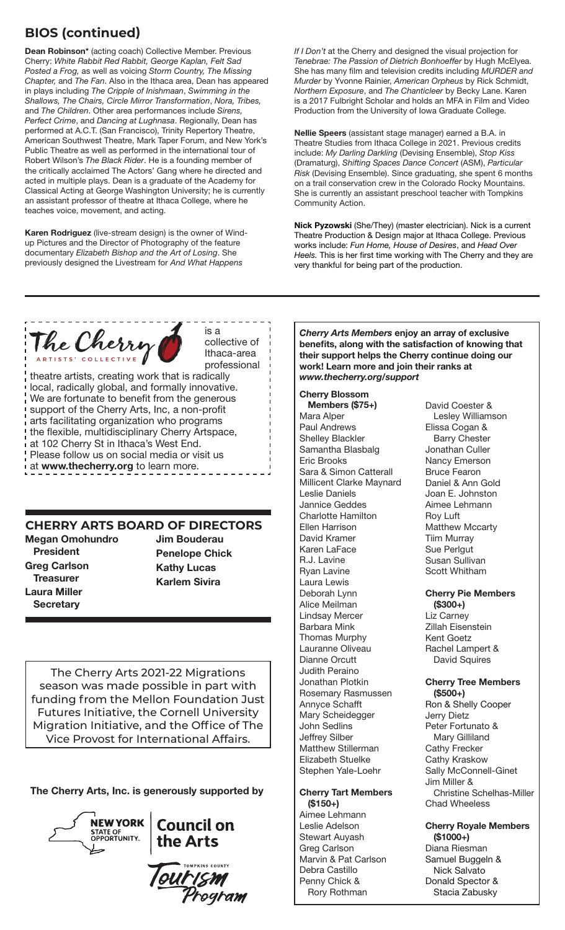### **BIOS (continued)**

**Dean Robinson\*** (acting coach) Collective Member. Previous Cherry: *White Rabbit Red Rabbit, George Kaplan, Felt Sad Posted a Frog,* as well as voicing *Storm Country, The Missing Chapter,* and *The Fan*. Also in the Ithaca area, Dean has appeared in plays including *The Cripple of Inishmaan*, *Swimming in the Shallows, The Chairs, Circle Mirror Transformation*, *Nora, Tribes,* and *The Children*. Other area performances include *Sirens, Perfect Crime*, and *Dancing at Lughnasa*. Regionally, Dean has performed at A.C.T. (San Francisco), Trinity Repertory Theatre, American Southwest Theatre, Mark Taper Forum, and New York's Public Theatre as well as performed in the international tour of Robert Wilson's *The Black Rider*. He is a founding member of the critically acclaimed The Actors' Gang where he directed and acted in multiple plays. Dean is a graduate of the Academy for Classical Acting at George Washington University; he is currently an assistant professor of theatre at Ithaca College, where he teaches voice, movement, and acting.

**Karen Rodriguez** (live-stream design) is the owner of Windup Pictures and the Director of Photography of the feature documentary *Elizabeth Bishop and the Art of Losing*. She previously designed the Livestream for *And What Happens* 

*If I Don't* at the Cherry and designed the visual projection for *Tenebrae: The Passion of Dietrich Bonhoeffer* by Hugh McElyea. She has many film and television credits including *MURDER and Murder* by Yvonne Rainier, *American Orpheus* by Rick Schmidt, *Northern Exposure*, and *The Chanticleer* by Becky Lane. Karen is a 2017 Fulbright Scholar and holds an MFA in Film and Video Production from the University of Iowa Graduate College.

**Nellie Speers** (assistant stage manager) earned a B.A. in Theatre Studies from Ithaca College in 2021. Previous credits include: *My Darling Darkling* (Devising Ensemble), *Stop Kiss* (Dramaturg), *Shifting Spaces Dance Concert* (ASM), *Particular Risk* (Devising Ensemble). Since graduating, she spent 6 months on a trail conservation crew in the Colorado Rocky Mountains. She is currently an assistant preschool teacher with Tompkins Community Action.

**Nick Pyzowski** (She/They) (master electrician). Nick is a current Theatre Production & Design major at Ithaca College. Previous works include: *Fun Home, House of Desires*, and *Head Over Heels.* This is her first time working with The Cherry and they are very thankful for being part of the production.



is a collective of Ithaca-area professional

theatre artists, creating work that is radically local, radically global, and formally innovative. We are fortunate to benefit from the generous support of the Cherry Arts, Inc, a non-profit arts facilitating organization who programs the flexible, multidisciplinary Cherry Artspace, at 102 Cherry St in Ithaca's West End. Please follow us on social media or visit us at **www.thecherry.org** to learn more.

### **CHERRY ARTS BOARD OF DIRECTORS**

**Megan Omohundro President Greg Carlson Treasurer Laura Miller Secretary**

**Jim Bouderau Penelope Chick Kathy Lucas Karlem Sivira**

The Cherry Arts 2021-22 Migrations season was made possible in part with funding from the Mellon Foundation Just Futures Initiative, the Cornell University Migration Initiative, and the Office of The Vice Provost for International Affairs.

**The Cherry Arts, Inc. is generously supported by**



### $\frac{1}{N}$ EWYORK Council on STATE OF COUNCIL COUNCIL

ourism<br>Prograi

*Cherry Arts Members* **enjoy an array of exclusive benefits, along with the satisfaction of knowing that their support helps the Cherry continue doing our work! Learn more and join their ranks at**  *www.thecherry.org/support*

#### **Cherry Blossom**

**Members (\$75+)** Mara Alper Paul Andrews Shelley Blackler Samantha Blasbalg Eric Brooks Sara & Simon Catterall Millicent Clarke Maynard Leslie Daniels Jannice Geddes Charlotte Hamilton Ellen Harrison David Kramer Karen LaFace R.J. Lavine Ryan Lavine Laura Lewis Deborah Lynn Alice Meilman Lindsay Mercer Barbara Mink Thomas Murphy Lauranne Oliveau Dianne Orcutt Judith Peraino Jonathan Plotkin Rosemary Rasmussen Annyce Schafft Mary Scheidegger John Sedlins Jeffrey Silber Matthew Stillerman Elizabeth Stuelke Stephen Yale-Loehr

#### **Cherry Tart Members (\$150+)**

Aimee Lehmann Leslie Adelson Stewart Auyash Greg Carlson Marvin & Pat Carlson Debra Castillo Penny Chick & Rory Rothman

David Coester & Lesley Williamson Elissa Cogan & Barry Chester Jonathan Culler Nancy Emerson Bruce Fearon Daniel & Ann Gold Joan E. Johnston Aimee Lehmann Roy Luft Matthew Mccarty Tiim Murray Sue Perlgut Susan Sullivan Scott Whitham

**Cherry Pie Members (\$300+)** Liz Carney

Zillah Eisenstein Kent Goetz Rachel Lampert & David Squires

#### **Cherry Tree Members (\$500+)** Ron & Shelly Cooper

Jerry Dietz Peter Fortunato & Mary Gilliland Cathy Frecker Cathy Kraskow Sally McConnell-Ginet Jim Miller & Christine Schelhas-Miller Chad Wheeless

#### **Cherry Royale Members (\$1000+)**

Diana Riesman Samuel Buggeln & Nick Salvato Donald Spector & Stacia Zabusky